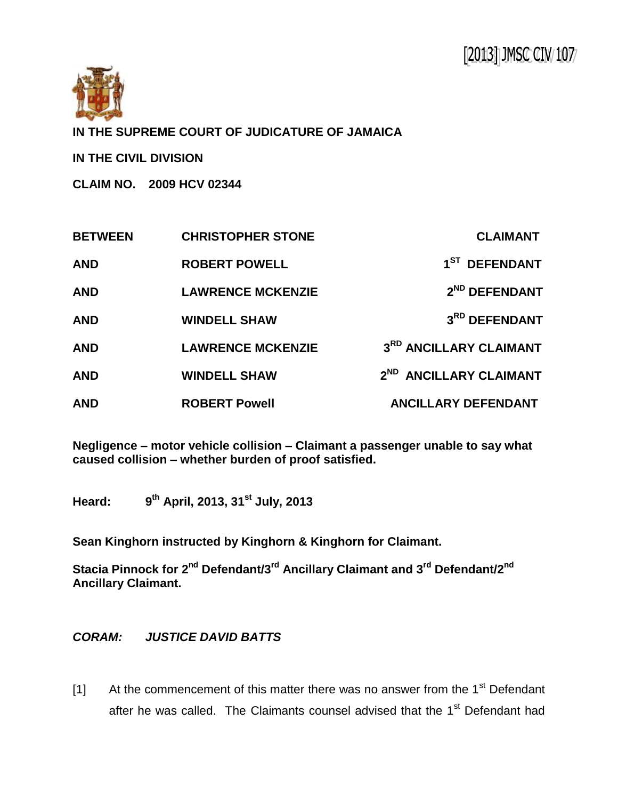

**IN THE SUPREME COURT OF JUDICATURE OF JAMAICA**

**IN THE CIVIL DIVISION**

**CLAIM NO. 2009 HCV 02344**

| <b>BETWEEN</b> | <b>CHRISTOPHER STONE</b> | <b>CLAIMANT</b>                    |
|----------------|--------------------------|------------------------------------|
| <b>AND</b>     | <b>ROBERT POWELL</b>     | 1 <sup>ST</sup> DEFENDANT          |
| <b>AND</b>     | <b>LAWRENCE MCKENZIE</b> | 2 <sup>ND</sup> DEFENDANT          |
| <b>AND</b>     | <b>WINDELL SHAW</b>      | 3RD DEFENDANT                      |
| <b>AND</b>     | <b>LAWRENCE MCKENZIE</b> | 3RD ANCILLARY CLAIMANT             |
| <b>AND</b>     | <b>WINDELL SHAW</b>      | 2 <sup>ND</sup> ANCILLARY CLAIMANT |
| <b>AND</b>     | <b>ROBERT Powell</b>     | <b>ANCILLARY DEFENDANT</b>         |

**Negligence – motor vehicle collision – Claimant a passenger unable to say what caused collision – whether burden of proof satisfied.**

**Heard: 9 th April, 2013, 31st July, 2013**

**Sean Kinghorn instructed by Kinghorn & Kinghorn for Claimant.**

**Stacia Pinnock for 2nd Defendant/3 rd Ancillary Claimant and 3rd Defendant/2nd Ancillary Claimant.**

## *CORAM: JUSTICE DAVID BATTS*

[1] At the commencement of this matter there was no answer from the  $1<sup>st</sup>$  Defendant after he was called. The Claimants counsel advised that the 1<sup>st</sup> Defendant had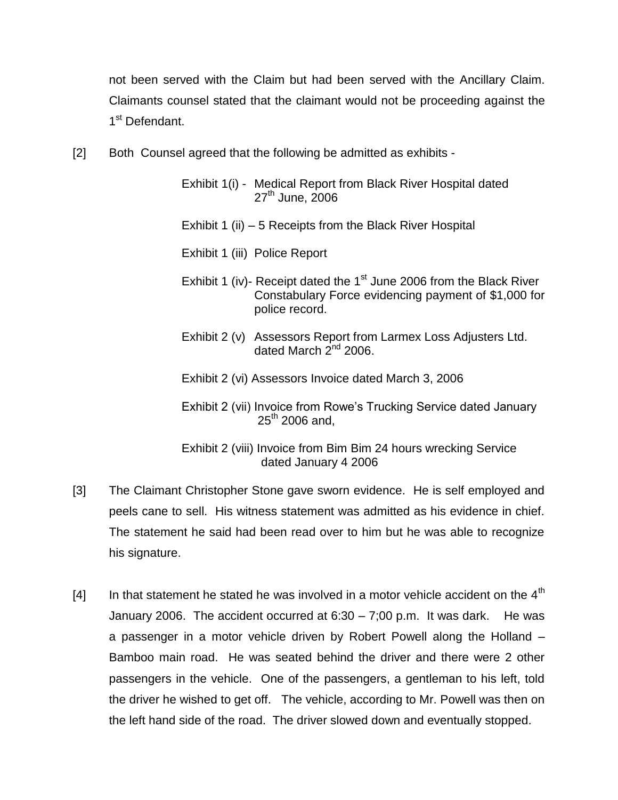not been served with the Claim but had been served with the Ancillary Claim. Claimants counsel stated that the claimant would not be proceeding against the 1<sup>st</sup> Defendant.

- [2] Both Counsel agreed that the following be admitted as exhibits -
	- Exhibit 1(i) Medical Report from Black River Hospital dated 27<sup>th</sup> June, 2006
	- Exhibit 1 (ii) 5 Receipts from the Black River Hospital
	- Exhibit 1 (iii) Police Report
	- Exhibit 1 (iv)- Receipt dated the  $1<sup>st</sup>$  June 2006 from the Black River Constabulary Force evidencing payment of \$1,000 for police record.
	- Exhibit 2 (v) Assessors Report from Larmex Loss Adjusters Ltd. dated March 2<sup>nd</sup> 2006.
	- Exhibit 2 (vi) Assessors Invoice dated March 3, 2006
	- Exhibit 2 (vii) Invoice from Rowe's Trucking Service dated January  $25^{th}$  2006 and,
	- Exhibit 2 (viii) Invoice from Bim Bim 24 hours wrecking Service dated January 4 2006
- [3] The Claimant Christopher Stone gave sworn evidence. He is self employed and peels cane to sell. His witness statement was admitted as his evidence in chief. The statement he said had been read over to him but he was able to recognize his signature.
- $[4]$  In that statement he stated he was involved in a motor vehicle accident on the  $4<sup>th</sup>$ January 2006. The accident occurred at  $6:30 - 7;00$  p.m. It was dark. He was a passenger in a motor vehicle driven by Robert Powell along the Holland – Bamboo main road. He was seated behind the driver and there were 2 other passengers in the vehicle. One of the passengers, a gentleman to his left, told the driver he wished to get off. The vehicle, according to Mr. Powell was then on the left hand side of the road. The driver slowed down and eventually stopped.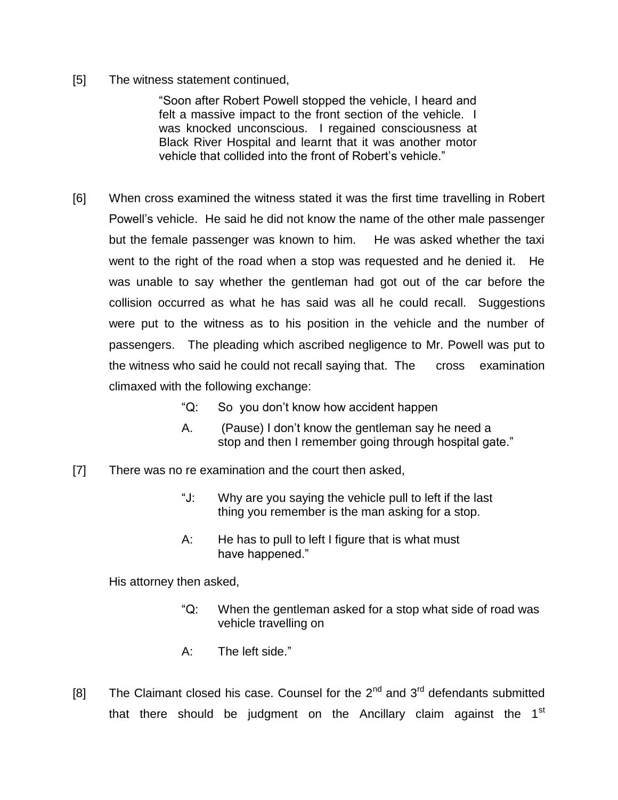[5] The witness statement continued,

"Soon after Robert Powell stopped the vehicle, I heard and felt a massive impact to the front section of the vehicle. I was knocked unconscious. I regained consciousness at Black River Hospital and learnt that it was another motor vehicle that collided into the front of Robert's vehicle."

- [6] When cross examined the witness stated it was the first time travelling in Robert Powell's vehicle. He said he did not know the name of the other male passenger but the female passenger was known to him. He was asked whether the taxi went to the right of the road when a stop was requested and he denied it. He was unable to say whether the gentleman had got out of the car before the collision occurred as what he has said was all he could recall. Suggestions were put to the witness as to his position in the vehicle and the number of passengers. The pleading which ascribed negligence to Mr. Powell was put to the witness who said he could not recall saying that. The cross examination climaxed with the following exchange:
	- "Q: So you don't know how accident happen
	- A. (Pause) I don't know the gentleman say he need a stop and then I remember going through hospital gate."
- [7] There was no re examination and the court then asked,
	- "J: Why are you saying the vehicle pull to left if the last thing you remember is the man asking for a stop.
	- A: He has to pull to left I figure that is what must have happened."

His attorney then asked,

- "Q: When the gentleman asked for a stop what side of road was vehicle travelling on
- A: The left side."
- [8] The Claimant closed his case. Counsel for the  $2^{nd}$  and  $3^{rd}$  defendants submitted that there should be judgment on the Ancillary claim against the 1<sup>st</sup>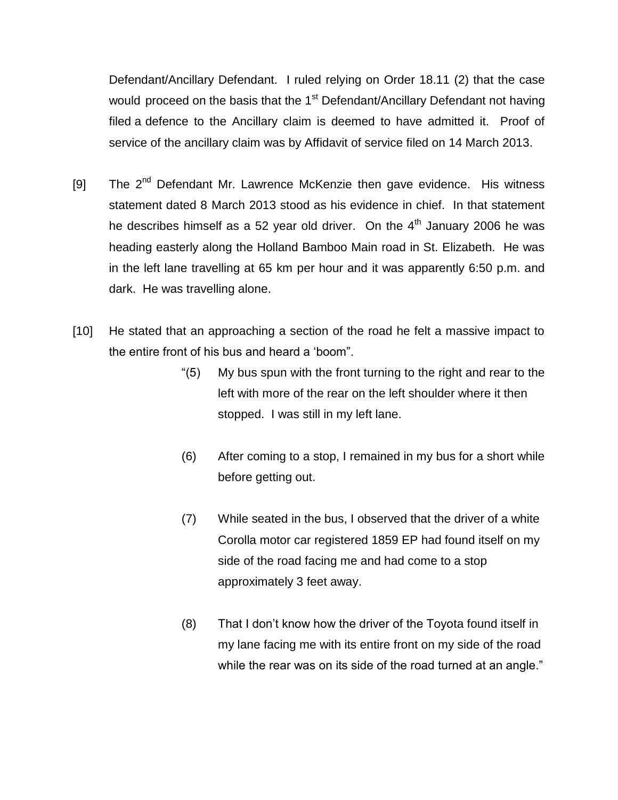Defendant/Ancillary Defendant. I ruled relying on Order 18.11 (2) that the case would proceed on the basis that the  $1<sup>st</sup>$  Defendant/Ancillary Defendant not having filed a defence to the Ancillary claim is deemed to have admitted it. Proof of service of the ancillary claim was by Affidavit of service filed on 14 March 2013.

- [9] The  $2^{nd}$  Defendant Mr. Lawrence McKenzie then gave evidence. His witness statement dated 8 March 2013 stood as his evidence in chief. In that statement he describes himself as a 52 year old driver. On the  $4<sup>th</sup>$  January 2006 he was heading easterly along the Holland Bamboo Main road in St. Elizabeth. He was in the left lane travelling at 65 km per hour and it was apparently 6:50 p.m. and dark. He was travelling alone.
- [10] He stated that an approaching a section of the road he felt a massive impact to the entire front of his bus and heard a 'boom".
	- "(5) My bus spun with the front turning to the right and rear to the left with more of the rear on the left shoulder where it then stopped. I was still in my left lane.
	- (6) After coming to a stop, I remained in my bus for a short while before getting out.
	- (7) While seated in the bus, I observed that the driver of a white Corolla motor car registered 1859 EP had found itself on my side of the road facing me and had come to a stop approximately 3 feet away.
	- (8) That I don't know how the driver of the Toyota found itself in my lane facing me with its entire front on my side of the road while the rear was on its side of the road turned at an angle."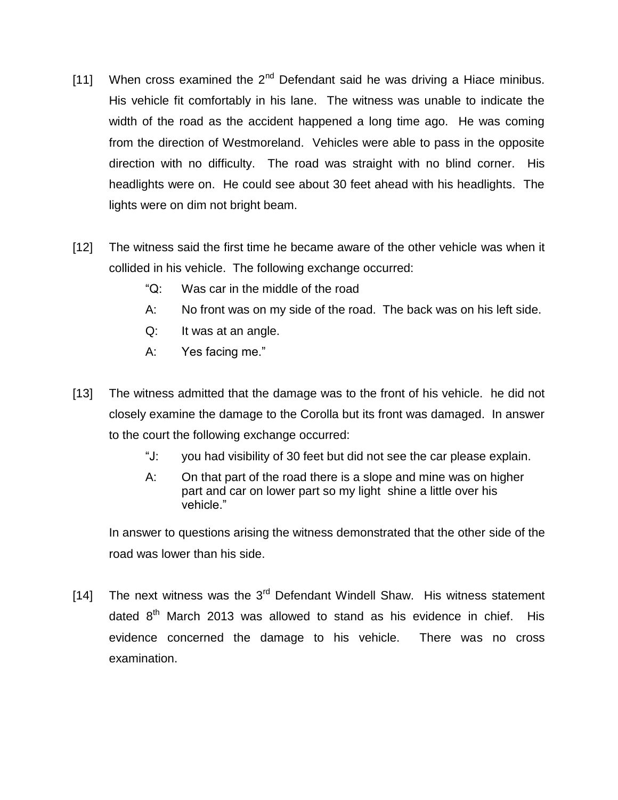- [11] When cross examined the  $2^{nd}$  Defendant said he was driving a Hiace minibus. His vehicle fit comfortably in his lane. The witness was unable to indicate the width of the road as the accident happened a long time ago. He was coming from the direction of Westmoreland. Vehicles were able to pass in the opposite direction with no difficulty. The road was straight with no blind corner. His headlights were on. He could see about 30 feet ahead with his headlights. The lights were on dim not bright beam.
- [12] The witness said the first time he became aware of the other vehicle was when it collided in his vehicle. The following exchange occurred:
	- "Q: Was car in the middle of the road
	- A: No front was on my side of the road. The back was on his left side.
	- Q: It was at an angle.
	- A: Yes facing me."
- [13] The witness admitted that the damage was to the front of his vehicle. he did not closely examine the damage to the Corolla but its front was damaged. In answer to the court the following exchange occurred:
	- "J: you had visibility of 30 feet but did not see the car please explain.
	- A: On that part of the road there is a slope and mine was on higher part and car on lower part so my light shine a little over his vehicle."

In answer to questions arising the witness demonstrated that the other side of the road was lower than his side.

[14] The next witness was the  $3<sup>rd</sup>$  Defendant Windell Shaw. His witness statement dated  $8<sup>th</sup>$  March 2013 was allowed to stand as his evidence in chief. His evidence concerned the damage to his vehicle. There was no cross examination.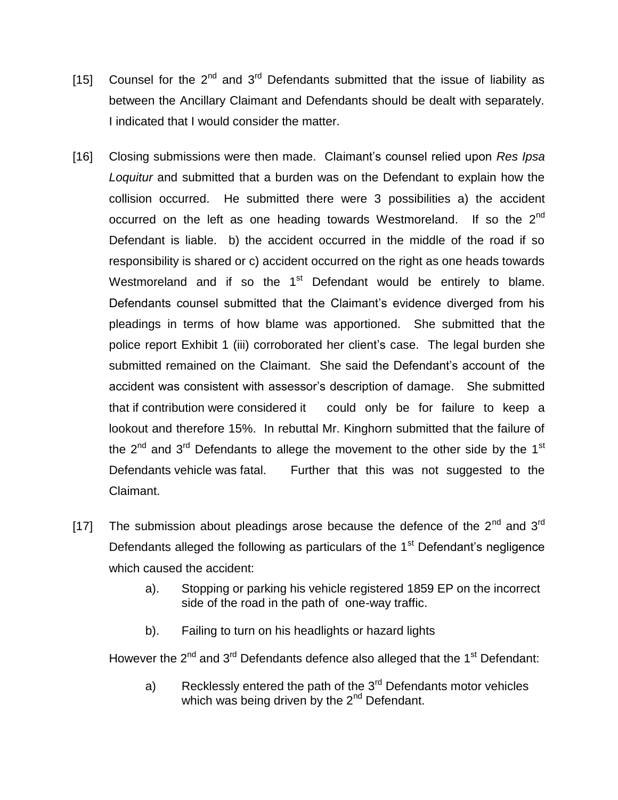- [15] Counsel for the  $2^{nd}$  and  $3^{rd}$  Defendants submitted that the issue of liability as between the Ancillary Claimant and Defendants should be dealt with separately. I indicated that I would consider the matter.
- [16] Closing submissions were then made. Claimant's counsel relied upon *Res Ipsa Loquitur* and submitted that a burden was on the Defendant to explain how the collision occurred. He submitted there were 3 possibilities a) the accident occurred on the left as one heading towards Westmoreland. If so the  $2<sup>nd</sup>$ Defendant is liable. b) the accident occurred in the middle of the road if so responsibility is shared or c) accident occurred on the right as one heads towards Westmoreland and if so the  $1<sup>st</sup>$  Defendant would be entirely to blame. Defendants counsel submitted that the Claimant's evidence diverged from his pleadings in terms of how blame was apportioned. She submitted that the police report Exhibit 1 (iii) corroborated her client's case. The legal burden she submitted remained on the Claimant. She said the Defendant's account of the accident was consistent with assessor's description of damage. She submitted that if contribution were considered it could only be for failure to keep a lookout and therefore 15%. In rebuttal Mr. Kinghorn submitted that the failure of the  $2^{nd}$  and  $3^{rd}$  Defendants to allege the movement to the other side by the 1<sup>st</sup> Defendants vehicle was fatal. Further that this was not suggested to the Claimant.
- [17] The submission about pleadings arose because the defence of the  $2^{nd}$  and  $3^{rd}$ Defendants alleged the following as particulars of the  $1<sup>st</sup>$  Defendant's negligence which caused the accident:
	- a). Stopping or parking his vehicle registered 1859 EP on the incorrect side of the road in the path of one-way traffic.
	- b). Failing to turn on his headlights or hazard lights

However the  $2^{nd}$  and  $3^{rd}$  Defendants defence also alleged that the 1<sup>st</sup> Defendant:

a) Recklessly entered the path of the 3<sup>rd</sup> Defendants motor vehicles which was being driven by the 2<sup>nd</sup> Defendant.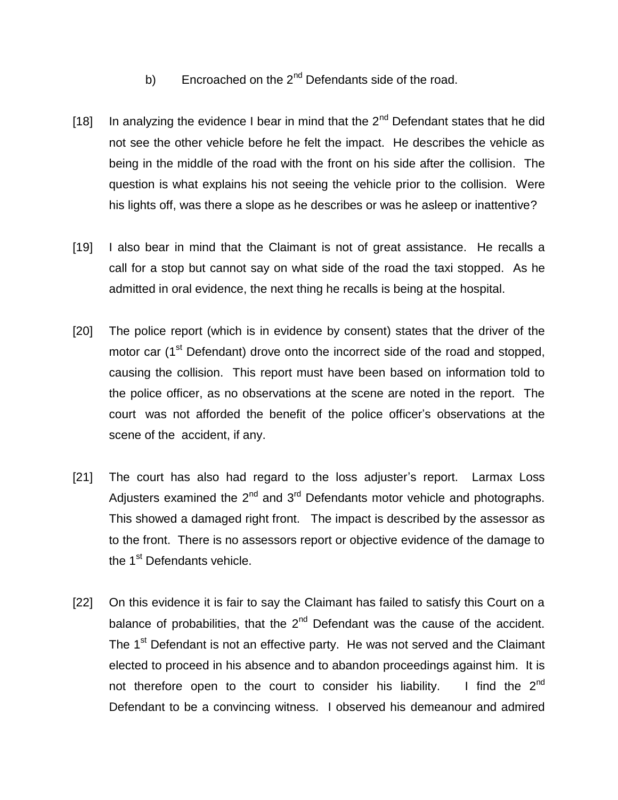- b) Encroached on the  $2<sup>nd</sup>$  Defendants side of the road.
- [18] In analyzing the evidence I bear in mind that the  $2<sup>nd</sup>$  Defendant states that he did not see the other vehicle before he felt the impact. He describes the vehicle as being in the middle of the road with the front on his side after the collision. The question is what explains his not seeing the vehicle prior to the collision. Were his lights off, was there a slope as he describes or was he asleep or inattentive?
- [19] I also bear in mind that the Claimant is not of great assistance. He recalls a call for a stop but cannot say on what side of the road the taxi stopped. As he admitted in oral evidence, the next thing he recalls is being at the hospital.
- [20] The police report (which is in evidence by consent) states that the driver of the motor car (1<sup>st</sup> Defendant) drove onto the incorrect side of the road and stopped, causing the collision. This report must have been based on information told to the police officer, as no observations at the scene are noted in the report. The court was not afforded the benefit of the police officer's observations at the scene of the accident, if any.
- [21] The court has also had regard to the loss adjuster's report. Larmax Loss Adjusters examined the  $2^{nd}$  and  $3^{rd}$  Defendants motor vehicle and photographs. This showed a damaged right front. The impact is described by the assessor as to the front. There is no assessors report or objective evidence of the damage to the 1<sup>st</sup> Defendants vehicle.
- [22] On this evidence it is fair to say the Claimant has failed to satisfy this Court on a balance of probabilities, that the  $2<sup>nd</sup>$  Defendant was the cause of the accident. The 1<sup>st</sup> Defendant is not an effective party. He was not served and the Claimant elected to proceed in his absence and to abandon proceedings against him. It is not therefore open to the court to consider his liability. I find the  $2^{nd}$ Defendant to be a convincing witness. I observed his demeanour and admired